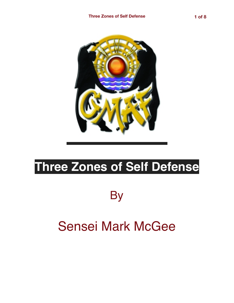

# **Three Zones of Self Defense**

**By** 

# Sensei Mark McGee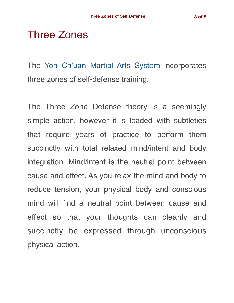## Three Zones

The [Yon Ch'uan Martial Arts System](https://gracemartialarts.files.wordpress.com/2021/06/gma-black-belt-study-guide-2021-final.pdf) incorporates three zones of self-defense training.

The Three Zone Defense theory is a seemingly simple action, however it is loaded with subtleties that require years of practice to perform them succinctly with total relaxed mind/intent and body integration. Mind/intent is the neutral point between cause and effect. As you relax the mind and body to reduce tension, your physical body and conscious mind will find a neutral point between cause and effect so that your thoughts can cleanly and succinctly be expressed through unconscious physical action.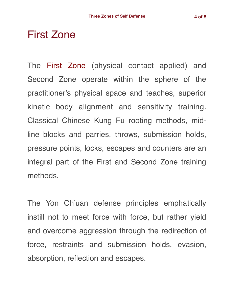#### First Zone

The First Zone (physical contact applied) and Second Zone operate within the sphere of the practitioner's physical space and teaches, superior kinetic body alignment and sensitivity training. Classical Chinese Kung Fu rooting methods, midline blocks and parries, throws, submission holds, pressure points, locks, escapes and counters are an integral part of the First and Second Zone training methods.

The Yon Ch'uan defense principles emphatically instill not to meet force with force, but rather yield and overcome aggression through the redirection of force, restraints and submission holds, evasion, absorption, reflection and escapes.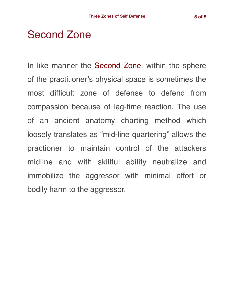### Second Zone

In like manner the Second Zone, within the sphere of the practitioner's physical space is sometimes the most difficult zone of defense to defend from compassion because of lag-time reaction. The use of an ancient anatomy charting method which loosely translates as "mid-line quartering" allows the practioner to maintain control of the attackers midline and with skillful ability neutralize and immobilize the aggressor with minimal effort or bodily harm to the aggressor.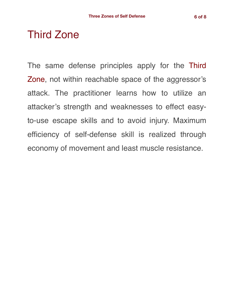## Third Zone

The same defense principles apply for the Third Zone, not within reachable space of the aggressor's attack. The practitioner learns how to utilize an attacker's strength and weaknesses to effect easyto-use escape skills and to avoid injury. Maximum efficiency of self-defense skill is realized through economy of movement and least muscle resistance.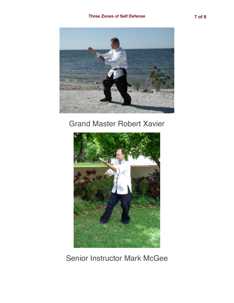

#### Grand Master Robert Xavier



Senior Instructor Mark McGee